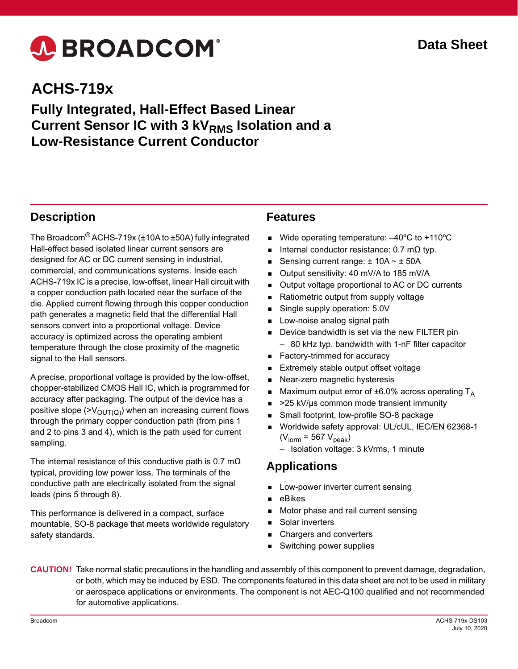# A BROADCOM®

# **ACHS-719x**

### **Fully Integrated, Hall-Effect Based Linear Current Sensor IC with 3 kVRMS Isolation and a Low-Resistance Current Conductor**

### **Description**

The Broadcom® ACHS-719x (±10A to ±50A) fully integrated Hall-effect based isolated linear current sensors are designed for AC or DC current sensing in industrial, commercial, and communications systems. Inside each ACHS-719x IC is a precise, low-offset, linear Hall circuit with a copper conduction path located near the surface of the die. Applied current flowing through this copper conduction path generates a magnetic field that the differential Hall sensors convert into a proportional voltage. Device accuracy is optimized across the operating ambient temperature through the close proximity of the magnetic signal to the Hall sensors.

A precise, proportional voltage is provided by the low-offset, chopper-stabilized CMOS Hall IC, which is programmed for accuracy after packaging. The output of the device has a positive slope ( $V_{\text{OUT}(Q)}$ ) when an increasing current flows through the primary copper conduction path (from pins 1 and 2 to pins 3 and 4), which is the path used for current sampling.

The internal resistance of this conductive path is 0.7 m $\Omega$ typical, providing low power loss. The terminals of the conductive path are electrically isolated from the signal leads (pins 5 through 8).

This performance is delivered in a compact, surface mountable, SO-8 package that meets worldwide regulatory safety standards.

### **Features**

- Wide operating temperature: –40ºC to +110ºC
- Internal conductor resistance: 0.7 mΩ typ.
- Sensing current range: ± 10A ~ ± 50A
- Output sensitivity: 40 mV/A to 185 mV/A
- Output voltage proportional to AC or DC currents
- Ratiometric output from supply voltage
- Single supply operation: 5.0V
- Low-noise analog signal path
- Device bandwidth is set via the new FILTER pin
- 80 kHz typ. bandwidth with 1-nF filter capacitor
- Factory-trimmed for accuracy
- Extremely stable output offset voltage
- Near-zero magnetic hysteresis
- Maximum output error of  $\pm 6.0\%$  across operating T<sub>A</sub>
- >25 kV/µs common mode transient immunity
- Small footprint, low-profile SO-8 package
- Worldwide safety approval: UL/cUL, IEC/EN 62368-1  $(V<sub>iorm</sub> = 567 V<sub>peak</sub>)$ 
	- Isolation voltage: 3 kVrms, 1 minute

### **Applications**

- Low-power inverter current sensing
- eBikes
- Motor phase and rail current sensing
- Solar inverters
- Chargers and converters
- Switching power supplies

**CAUTION!** Take normal static precautions in the handling and assembly of this component to prevent damage, degradation, or both, which may be induced by ESD. The components featured in this data sheet are not to be used in military or aerospace applications or environments. The component is not AEC-Q100 qualified and not recommended for automotive applications.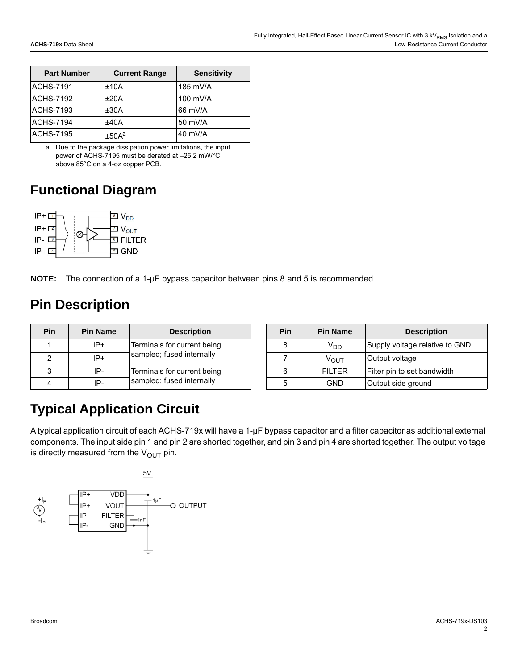| <b>Part Number</b> | <b>Current Range</b> | <b>Sensitivity</b> |
|--------------------|----------------------|--------------------|
| <b>ACHS-7191</b>   | ±10A                 | 185 mV/A           |
| <b>ACHS-7192</b>   | ±20A                 | 100 mV/A           |
| <b>ACHS-7193</b>   | ±30A                 | 66 mV/A            |
| <b>ACHS-7194</b>   | ±40A                 | 50 mV/A            |
| <b>ACHS-7195</b>   | ±50A <sup>a</sup>    | $40$ mV/A          |

a. Due to the package dissipation power limitations, the input power of ACHS-7195 must be derated at –25.2 mW/°C above 85°C on a 4-oz copper PCB.

### **Functional Diagram**



**NOTE:** The connection of a 1-µF bypass capacitor between pins 8 and 5 is recommended.

### **Pin Description**

| <b>Pin</b> | <b>Pin Name</b> | <b>Description</b>                                       |  | <b>Pin</b> | <b>Pin Name</b>  | <b>Description</b>        |
|------------|-----------------|----------------------------------------------------------|--|------------|------------------|---------------------------|
|            | IP+             | Terminals for current being<br>sampled; fused internally |  |            | $V_{DD}$         | Supply voltage relative t |
|            | $IP+$           |                                                          |  |            | $V_{\text{OUT}}$ | Output voltage            |
|            | IP-             | Terminals for current being                              |  |            | <b>FILTER</b>    | Filter pin to set bandwid |
|            | IP-             | sampled; fused internally                                |  | 5          | <b>GND</b>       | Output side ground        |

| Pin | <b>Pin Name</b>  | <b>Description</b>             |
|-----|------------------|--------------------------------|
| 8   | V <sub>DD</sub>  | Supply voltage relative to GND |
|     | ν <sub>ουτ</sub> | Output voltage                 |
|     | FII TFR          | Filter pin to set bandwidth    |
| 5   | GND              | Output side ground             |

# **Typical Application Circuit**

A typical application circuit of each ACHS-719x will have a 1-µF bypass capacitor and a filter capacitor as additional external components. The input side pin 1 and pin 2 are shorted together, and pin 3 and pin 4 are shorted together. The output voltage is directly measured from the  $V_{OUT}$  pin.

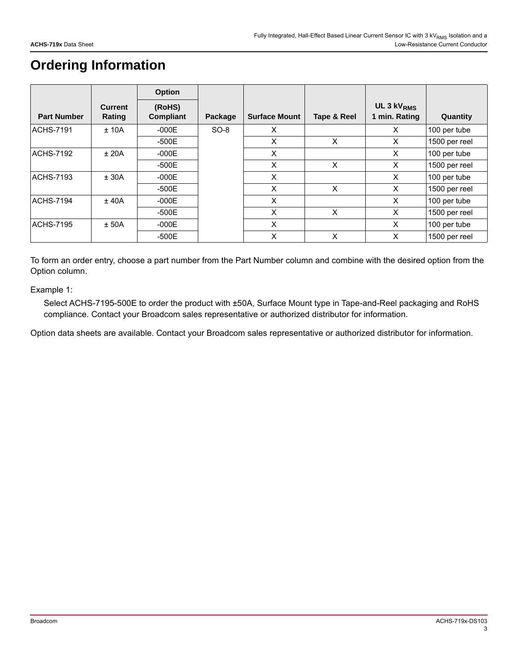## **Ordering Information**

|                    |                          | <b>Option</b>       |         |                      |             |                                         |               |
|--------------------|--------------------------|---------------------|---------|----------------------|-------------|-----------------------------------------|---------------|
| <b>Part Number</b> | <b>Current</b><br>Rating | (RoHS)<br>Compliant | Package | <b>Surface Mount</b> | Tape & Reel | UL 3 kV <sub>RMS</sub><br>1 min. Rating | Quantity      |
| <b>ACHS-7191</b>   | ± 10A                    | $-000E$             | $SO-8$  | X                    |             | X                                       | 100 per tube  |
|                    |                          | $-500E$             |         | X                    | X           | X                                       | 1500 per reel |
| <b>ACHS-7192</b>   | ±20A                     | $-000E$             |         | X                    |             | X                                       | 100 per tube  |
|                    |                          | -500E               |         | X                    | X           | X                                       | 1500 per reel |
| <b>ACHS-7193</b>   | ± 30A                    | $-000E$             |         | X                    |             | X                                       | 100 per tube  |
|                    |                          | -500E               |         | X                    | X           | X                                       | 1500 per reel |
| <b>ACHS-7194</b>   | ± 40A                    | $-000E$             |         | X                    |             | X                                       | 100 per tube  |
|                    |                          | -500E               |         | X                    | X           | X                                       | 1500 per reel |
| <b>ACHS-7195</b>   | ± 50A                    | $-000E$             |         | X                    |             | $\times$                                | 100 per tube  |
|                    |                          | $-500E$             |         | X                    | X           | X                                       | 1500 per reel |

To form an order entry, choose a part number from the Part Number column and combine with the desired option from the Option column.

Example 1:

Select ACHS-7195-500E to order the product with ±50A, Surface Mount type in Tape-and-Reel packaging and RoHS compliance. Contact your Broadcom sales representative or authorized distributor for information.

Option data sheets are available. Contact your Broadcom sales representative or authorized distributor for information.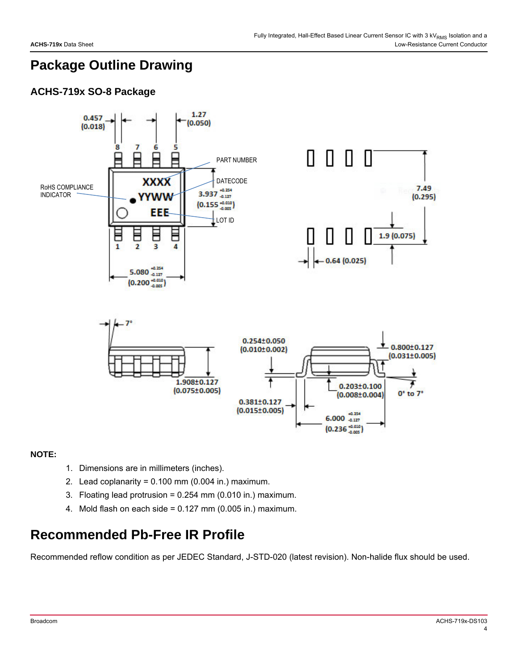### **Package Outline Drawing**

### **ACHS-719x SO-8 Package**



### **NOTE:**

- 1. Dimensions are in millimeters (inches).
- 2. Lead coplanarity =  $0.100$  mm ( $0.004$  in.) maximum.
- 3. Floating lead protrusion = 0.254 mm (0.010 in.) maximum.
- 4. Mold flash on each side = 0.127 mm (0.005 in.) maximum.

### **Recommended Pb-Free IR Profile**

Recommended reflow condition as per JEDEC Standard, J-STD-020 (latest revision). Non-halide flux should be used.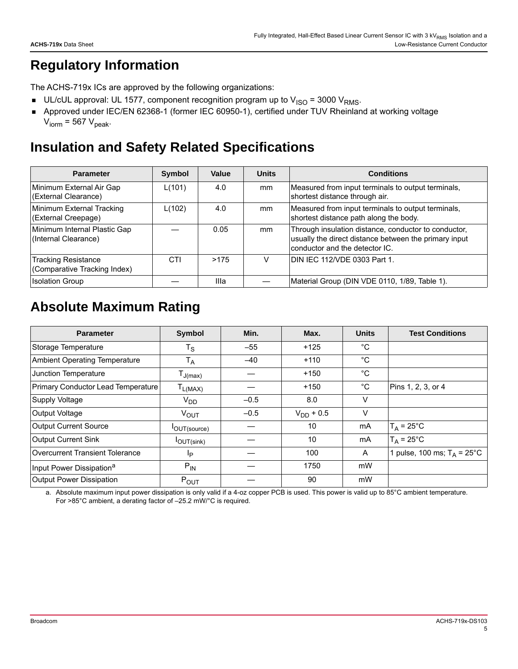# **Regulatory Information**

The ACHS-719x ICs are approved by the following organizations:

- UL/cUL approval: UL 1577, component recognition program up to  $V_{\text{ISO}} = 3000 V_{\text{RMS}}$ .
- Approved under IEC/EN 62368-1 (former IEC 60950-1), certified under TUV Rheinland at working voltage  $V_{\text{iorm}}$  = 567  $V_{\text{peak}}$ .

### **Insulation and Safety Related Specifications**

| <b>Parameter</b>                                           | Symbol | Value | <b>Units</b> | <b>Conditions</b>                                                                                                                               |
|------------------------------------------------------------|--------|-------|--------------|-------------------------------------------------------------------------------------------------------------------------------------------------|
| Minimum External Air Gap<br>(External Clearance)           | L(101) | 4.0   | mm           | Measured from input terminals to output terminals,<br>shortest distance through air.                                                            |
| Minimum External Tracking<br>(External Creepage)           | L(102) | 4.0   | mm           | Measured from input terminals to output terminals,<br>shortest distance path along the body.                                                    |
| Minimum Internal Plastic Gap<br>(Internal Clearance)       |        | 0.05  | mm           | Through insulation distance, conductor to conductor,<br>usually the direct distance between the primary input<br>conductor and the detector IC. |
| <b>Tracking Resistance</b><br>(Comparative Tracking Index) | CTI    | >175  | V            | DIN IEC 112/VDE 0303 Part 1.                                                                                                                    |
| <b>Isolation Group</b>                                     |        | Illa  |              | Material Group (DIN VDE 0110, 1/89, Table 1).                                                                                                   |

# <span id="page-4-1"></span>**Absolute Maximum Rating**

| <b>Parameter</b>                       | Symbol                                  | Min.   | Max.           | <b>Units</b> | <b>Test Conditions</b>                |
|----------------------------------------|-----------------------------------------|--------|----------------|--------------|---------------------------------------|
| Storage Temperature                    | $T_S$                                   | $-55$  | $+125$         | °C           |                                       |
| <b>Ambient Operating Temperature</b>   | Т <sub>А</sub>                          | $-40$  | $+110$         | °C           |                                       |
| Junction Temperature                   | $\mathsf{T}_{\mathsf{J}(\mathsf{max})}$ |        | $+150$         | $^{\circ}C$  |                                       |
| Primary Conductor Lead Temperature     | $T_{L(MAX)}$                            |        | $+150$         | $^{\circ}$ C | Pins 1, 2, 3, or 4                    |
| <b>Supply Voltage</b>                  | $V_{DD}$                                | $-0.5$ | 8.0            | V            |                                       |
| Output Voltage                         | $V_{\text{OUT}}$                        | $-0.5$ | $V_{DD}$ + 0.5 | V            |                                       |
| Output Current Source                  | <b>I</b> OUT(source)                    |        | 10             | mA           | $T_A = 25^{\circ}C$                   |
| <b>Output Current Sink</b>             | $I$ OUT(sink)                           |        | 10             | mA           | $T_A = 25^{\circ}C$                   |
| <b>Overcurrent Transient Tolerance</b> | Ιp                                      |        | 100            | A            | 1 pulse, 100 ms; $T_A = 25^{\circ}$ C |
| Input Power Dissipation <sup>a</sup>   | $P_{IN}$                                |        | 1750           | mW           |                                       |
| <b>Output Power Dissipation</b>        | $P_{OUT}$                               |        | 90             | mW           |                                       |

<span id="page-4-0"></span>a. Absolute maximum input power dissipation is only valid if a 4-oz copper PCB is used. This power is valid up to 85°C ambient temperature. For >85°C ambient, a derating factor of –25.2 mW/°C is required.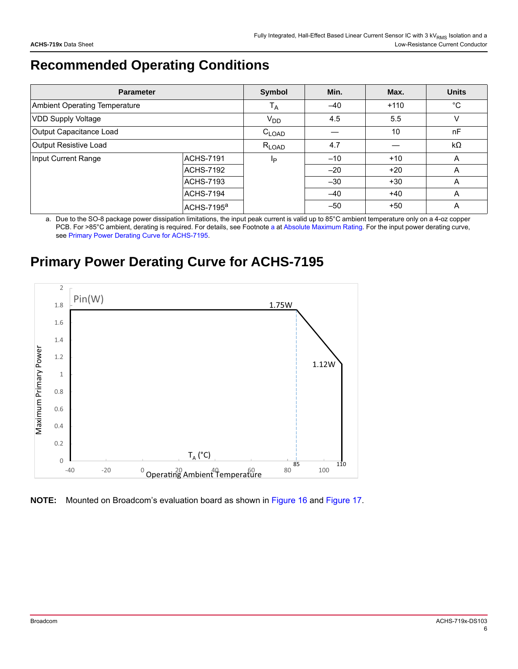# **Recommended Operating Conditions**

| <b>Parameter</b>              |                        | Symbol     | Min.  | Max.   | <b>Units</b> |
|-------------------------------|------------------------|------------|-------|--------|--------------|
| Ambient Operating Temperature |                        | $T_A$      | $-40$ | $+110$ | $^{\circ}C$  |
| <b>VDD Supply Voltage</b>     |                        | $V_{DD}$   | 4.5   | 5.5    | V            |
| Output Capacitance Load       |                        | $C_{LOAD}$ |       | 10     | nF           |
| Output Resistive Load         |                        | $R_{LOAD}$ | 4.7   |        | kΩ           |
| Input Current Range           | <b>ACHS-7191</b>       | Ip         | $-10$ | $+10$  | A            |
|                               | <b>ACHS-7192</b>       |            | $-20$ | $+20$  | A            |
|                               | ACHS-7193              |            | $-30$ | $+30$  | A            |
|                               | ACHS-7194              |            | $-40$ | $+40$  | A            |
|                               | ACHS-7195 <sup>a</sup> |            | $-50$ | $+50$  | Α            |

a. Due to the SO-8 package power dissipation limitations, the input peak current is valid up to 85°C ambient temperature only on a 4-oz copper PCB. For >85°C ambient, derating is required. For details, see Footnote [a](#page-4-0) at [Absolute Maximum Rating.](#page-4-1) For the input power derating curve, see [Primary Power Derating Curve for ACHS-7195](#page-5-0).

# <span id="page-5-0"></span>**Primary Power Derating Curve for ACHS-7195**



**NOTE:** Mounted on Broadcom's evaluation board as shown in [Figure 16](#page-17-0) and [Figure 17.](#page-17-1)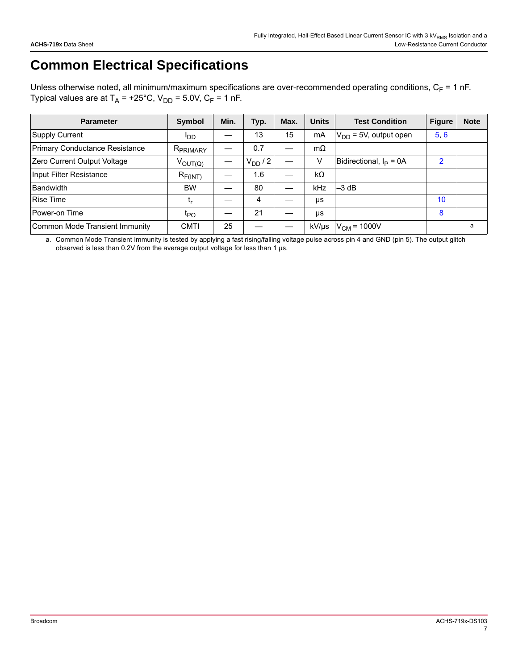# **Common Electrical Specifications**

Unless otherwise noted, all minimum/maximum specifications are over-recommended operating conditions,  $C_F = 1$  nF. Typical values are at  $T_A$  = +25°C,  $V_{DD}$  = 5.0V, C<sub>F</sub> = 1 nF.

| <b>Parameter</b>               | Symbol                | Min. | Typ.       | Max. | <b>Units</b> | <b>Test Condition</b>      | <b>Figure</b> | <b>Note</b> |
|--------------------------------|-----------------------|------|------------|------|--------------|----------------------------|---------------|-------------|
| Supply Current                 | <b>I</b> DD           |      | 13         | 15   | mA           | $V_{DD}$ = 5V, output open | 5, 6          |             |
| Primary Conductance Resistance | R <sub>PRIMARY</sub>  |      | 0.7        |      | $m\Omega$    |                            |               |             |
| Zero Current Output Voltage    | $V_{\mathsf{OUT}(Q)}$ |      | $V_{DD}/2$ |      | v            | Bidirectional, $I_P = 0A$  | $\mathcal{P}$ |             |
| Input Filter Resistance        | $R_{F(INT)}$          |      | 1.6        |      | kΩ           |                            |               |             |
| Bandwidth                      | <b>BW</b>             |      | 80         |      | <b>kHz</b>   | $-3$ dB                    |               |             |
| <b>Rise Time</b>               | ւբ                    |      | 4          |      | μs           |                            | 10            |             |
| Power-on Time                  | t <sub>PO</sub>       |      | 21         |      | μs           |                            | 8             |             |
| Common Mode Transient Immunity | <b>CMTI</b>           | 25   |            |      | kV/µs        | $V_{CM}$ = 1000V           |               | a           |

a. Common Mode Transient Immunity is tested by applying a fast rising/falling voltage pulse across pin 4 and GND (pin 5). The output glitch observed is less than 0.2V from the average output voltage for less than 1 µs.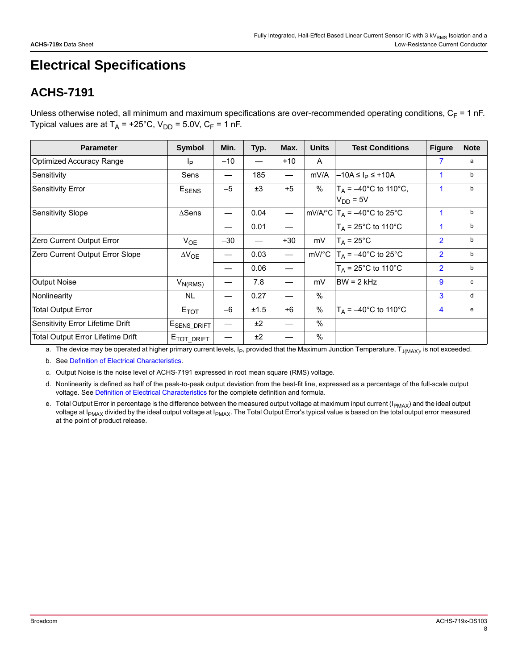# **Electrical Specifications**

### **ACHS-7191**

Unless otherwise noted, all minimum and maximum specifications are over-recommended operating conditions,  $C_F = 1$  nF. Typical values are at  $T_A$  = +25°C,  $V_{DD}$  = 5.0V,  $C_F$  = 1 nF.

| <b>Parameter</b>                         | Symbol                       | Min.    | Typ. | Max.                     | <b>Units</b> | <b>Test Conditions</b>                                       | <b>Figure</b>           | <b>Note</b> |
|------------------------------------------|------------------------------|---------|------|--------------------------|--------------|--------------------------------------------------------------|-------------------------|-------------|
| <b>Optimized Accuracy Range</b>          | Ιp                           | $-10$   |      | $+10$                    | $\mathsf{A}$ |                                                              | 7                       | a           |
| Sensitivity                              | Sens                         |         | 185  |                          | mV/A         | $-10A \leq I_P \leq +10A$                                    | 1                       | b           |
| <b>Sensitivity Error</b>                 | $\mathsf{E}_{\mathsf{SENS}}$ | $-5$    | ±3   | $+5$                     | %            | $T_A = -40^{\circ}$ C to 110°C,<br>$VDD = 5V$                | 1                       | b           |
| <b>Sensitivity Slope</b>                 | $\triangle$ Sens             |         | 0.04 |                          |              | mV/A/ $^{\circ}$ C $ T_A = -40^{\circ}$ C to 25 $^{\circ}$ C | 1                       | b           |
|                                          |                              | —<br>—— | 0.01 |                          |              | $T_A = 25^{\circ}$ C to 110°C                                | 1                       | b           |
| Zero Current Output Error                | $V_{OE}$                     | $-30$   |      | $+30$                    | mV           | $T_A = 25^{\circ}C$                                          | $\overline{2}$          | b           |
| Zero Current Output Error Slope          | $\Delta V_{OE}$              |         | 0.03 | $\overline{\phantom{0}}$ |              | mV/°C $T_A = -40$ °C to 25°C                                 | $\overline{2}$          | b           |
|                                          |                              |         | 0.06 |                          |              | $T_A$ = 25°C to 110°C                                        | $\overline{2}$          | b           |
| <b>Output Noise</b>                      | $V_{N(RMS)}$                 |         | 7.8  |                          | mV           | $BW = 2 kHz$                                                 | 9                       | c           |
| Nonlinearity                             | <b>NL</b>                    | —       | 0.27 |                          | $\%$         |                                                              | 3                       | d           |
| <b>Total Output Error</b>                | $E_{TOT}$                    | $-6$    | ±1.5 | $+6$                     | %            | $T_A = -40^{\circ}$ C to 110°C                               | $\overline{\mathbf{4}}$ | e           |
| Sensitivity Error Lifetime Drift         | E <sub>SENS_DRIFT</sub>      |         | ±2   |                          | $\%$         |                                                              |                         |             |
| <b>Total Output Error Lifetime Drift</b> | E <sub>TOT_DRIFT</sub>       |         | ±2   |                          | $\%$         |                                                              |                         |             |

a. The device may be operated at higher primary current levels,  $I_P$ , provided that the Maximum Junction Temperature,  $T_{J(MAX)}$ , is not exceeded.

<span id="page-7-0"></span>b. See [Definition of Electrical Characteristics](#page-15-0).

c. Output Noise is the noise level of ACHS-7191 expressed in root mean square (RMS) voltage.

d. Nonlinearity is defined as half of the peak-to-peak output deviation from the best-fit line, expressed as a percentage of the full-scale output voltage. See [Definition of Electrical Characteristics](#page-15-0) for the complete definition and formula.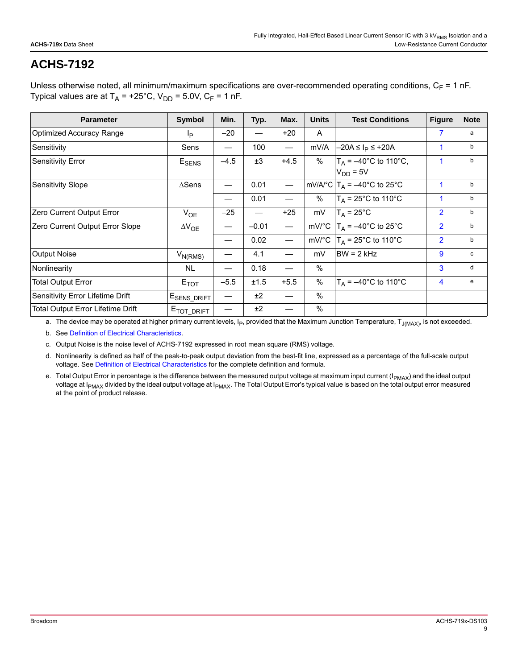Unless otherwise noted, all minimum/maximum specifications are over-recommended operating conditions,  $C_F = 1$  nF. Typical values are at  $T_A$  = +25°C,  $V_{DD}$  = 5.0V,  $C_F$  = 1 nF.

| <b>Parameter</b>                  | Symbol                       | Min.   | Typ.    | Max.            | <b>Units</b> | <b>Test Conditions</b>                       | <b>Figure</b>  | <b>Note</b> |
|-----------------------------------|------------------------------|--------|---------|-----------------|--------------|----------------------------------------------|----------------|-------------|
| <b>Optimized Accuracy Range</b>   | Ip                           | $-20$  |         | $+20$           | A            |                                              | 7              | a           |
| Sensitivity                       | Sens                         |        | 100     |                 | mV/A         | $-20A \leq I_p \leq +20A$                    | 1              | b           |
| <b>Sensitivity Error</b>          | $\mathsf{E}_{\mathsf{SENS}}$ | $-4.5$ | ±3      | $+4.5$          | %            | $T_A = -40^{\circ}C$ to 110°C,<br>$VDD = 5V$ | 1              | b           |
| <b>Sensitivity Slope</b>          | $\triangle$ Sens             |        | 0.01    |                 |              | mV/A/°C $T_A = -40$ °C to 25°C               | $\mathbf{1}$   | b           |
|                                   |                              |        | 0.01    |                 | %            | $T_A$ = 25°C to 110°C                        | 1              | b           |
| Zero Current Output Error         | $V_{OE}$                     | $-25$  |         | $+25$           | mV           | $T_A = 25^{\circ}C$                          | $\overline{2}$ | b           |
| Zero Current Output Error Slope   | $\Delta V_{OE}$              |        | $-0.01$ | $\qquad \qquad$ |              | mV/°C $T_A = -40$ °C to 25°C                 | $\overline{2}$ | b           |
|                                   |                              |        | 0.02    |                 |              | mV/°C $T_A$ = 25°C to 110°C                  | $\overline{2}$ | b           |
| <b>Output Noise</b>               | $V_{N(RMS)}$                 |        | 4.1     |                 | mV           | $BW = 2 kHz$                                 | 9              | c           |
| Nonlinearity                      | NL                           |        | 0.18    |                 | $\%$         |                                              | 3              | d           |
| <b>Total Output Error</b>         | $E_{TOT}$                    | $-5.5$ | ±1.5    | $+5.5$          | $\%$         | $T_A = -40^{\circ}C$ to 110°C                | 4              | e           |
| Sensitivity Error Lifetime Drift  | E <sub>SENS_DRIFT</sub>      |        | ±2      |                 | $\%$         |                                              |                |             |
| Total Output Error Lifetime Drift | $E_{\text{TOT\_DRIFT}}$      |        | ±2      |                 | $\%$         |                                              |                |             |

a. The device may be operated at higher primary current levels, I<sub>P</sub>, provided that the Maximum Junction Temperature, T<sub>J(MAX)</sub>, is not exceeded.

<span id="page-8-0"></span>b. See [Definition of Electrical Characteristics](#page-15-0).

c. Output Noise is the noise level of ACHS-7192 expressed in root mean square (RMS) voltage.

d. Nonlinearity is defined as half of the peak-to-peak output deviation from the best-fit line, expressed as a percentage of the full-scale output voltage. See [Definition of Electrical Characteristics](#page-15-0) for the complete definition and formula.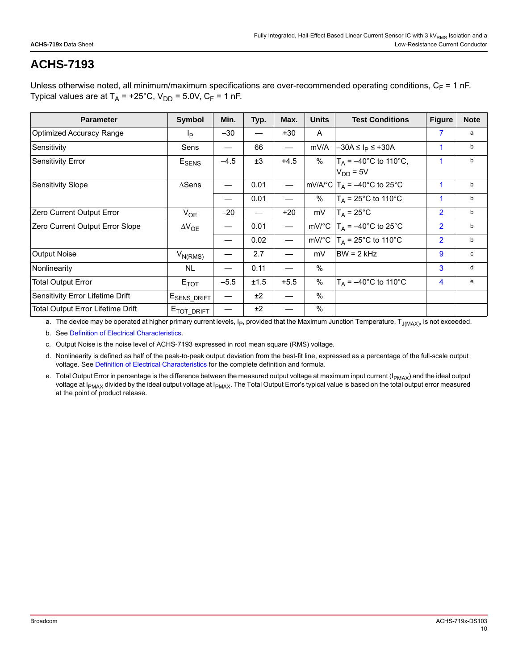Unless otherwise noted, all minimum/maximum specifications are over-recommended operating conditions,  $C_F = 1$  nF. Typical values are at  $T_A$  = +25°C,  $V_{DD}$  = 5.0V,  $C_F$  = 1 nF.

| <b>Parameter</b>                  | <b>Symbol</b>                | Min.   | Typ. | Max.                     | <b>Units</b> | <b>Test Conditions</b>                        | <b>Figure</b>  | <b>Note</b> |
|-----------------------------------|------------------------------|--------|------|--------------------------|--------------|-----------------------------------------------|----------------|-------------|
| <b>Optimized Accuracy Range</b>   | Ip                           | $-30$  |      | $+30$                    | A            |                                               | 7              | a           |
| Sensitivity                       | Sens                         |        | 66   |                          | mV/A         | $-30A \leq I_p \leq +30A$                     | 1              | b           |
| <b>Sensitivity Error</b>          | $\mathsf{E}_{\mathsf{SENS}}$ | $-4.5$ | ±3   | $+4.5$                   | %            | $T_A = -40^{\circ}$ C to 110°C,<br>$VDD = 5V$ | 1              | b           |
| <b>Sensitivity Slope</b>          | $\Lambda$ Sens               |        | 0.01 | $\overline{\phantom{m}}$ |              | mV/A/°C $T_A = -40$ °C to 25°C                | 1              | b           |
|                                   |                              |        | 0.01 |                          | %            | $T_A$ = 25°C to 110°C                         | $\mathbf{1}$   | b           |
| Zero Current Output Error         | $V_{OE}$                     | $-20$  |      | $+20$                    | mV           | $T_A = 25^{\circ}C$                           | $\overline{2}$ | b           |
| Zero Current Output Error Slope   | $\Delta V_{OE}$              |        | 0.01 |                          |              | mV/°C $T_A = -40$ °C to 25°C                  | $\overline{2}$ | b           |
|                                   |                              |        | 0.02 |                          |              | mV/°C $T_A$ = 25°C to 110°C                   | $\overline{2}$ | b           |
| <b>Output Noise</b>               | $V_{N(RMS)}$                 |        | 2.7  |                          | mV           | $BW = 2 kHz$                                  | 9              | c           |
| Nonlinearity                      | NL                           |        | 0.11 |                          | $\%$         |                                               | 3              | d           |
| Total Output Error                | $E_{TOT}$                    | $-5.5$ | ±1.5 | $+5.5$                   | $\%$         | $T_A = -40^{\circ}C$ to 110°C                 | 4              | e           |
| Sensitivity Error Lifetime Drift  | E <sub>SENS_DRIFT</sub>      |        | ±2   |                          | $\%$         |                                               |                |             |
| Total Output Error Lifetime Drift | $E_{\text{TOT\_DRIFT}}$      |        | ±2   |                          | $\%$         |                                               |                |             |

a. The device may be operated at higher primary current levels, I<sub>P</sub>, provided that the Maximum Junction Temperature, T<sub>J(MAX)</sub>, is not exceeded.

<span id="page-9-0"></span>b. See [Definition of Electrical Characteristics](#page-15-0).

c. Output Noise is the noise level of ACHS-7193 expressed in root mean square (RMS) voltage.

d. Nonlinearity is defined as half of the peak-to-peak output deviation from the best-fit line, expressed as a percentage of the full-scale output voltage. See [Definition of Electrical Characteristics](#page-15-0) for the complete definition and formula.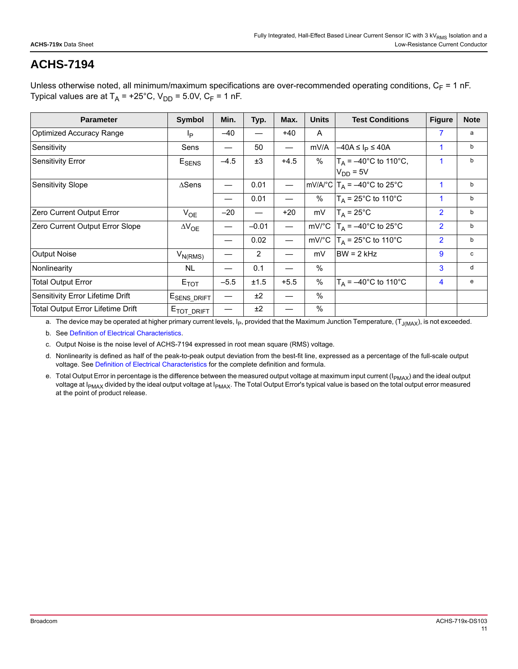Unless otherwise noted, all minimum/maximum specifications are over-recommended operating conditions,  $C_F = 1$  nF. Typical values are at  $T_A$  = +25°C,  $V_{DD}$  = 5.0V,  $C_F$  = 1 nF.

| <b>Parameter</b>                  | Symbol                       | Min.   | Typ.    | Max.   | <b>Units</b> | <b>Test Conditions</b>                       | <b>Figure</b>  | <b>Note</b> |
|-----------------------------------|------------------------------|--------|---------|--------|--------------|----------------------------------------------|----------------|-------------|
| <b>Optimized Accuracy Range</b>   | Ip                           | $-40$  |         | $+40$  | A            |                                              | 7              | a           |
| Sensitivity                       | Sens                         |        | 50      |        | mV/A         | $-40A \leq I_P \leq 40A$                     | 1              | b           |
| <b>Sensitivity Error</b>          | $\mathsf{E}_{\mathsf{SENS}}$ | $-4.5$ | ±3      | $+4.5$ | %            | $T_A = -40^{\circ}C$ to 110°C,<br>$VDD = 5V$ | 1              | b           |
| <b>Sensitivity Slope</b>          | $\triangle$ Sens             |        | 0.01    |        |              | mV/A/°C $T_A = -40$ °C to 25°C               | $\mathbf{1}$   | b           |
|                                   |                              |        | 0.01    |        | %            | $T_A$ = 25°C to 110°C                        | 1              | b           |
| Zero Current Output Error         | $V_{OE}$                     | $-20$  |         | $+20$  | mV           | $T_A = 25^{\circ}C$                          | $\overline{2}$ | b           |
| Zero Current Output Error Slope   | $\Delta V_{OE}$              |        | $-0.01$ | —      |              | mV/°C $T_A = -40$ °C to 25°C                 | $\overline{2}$ | b           |
|                                   |                              |        | 0.02    |        |              | mV/°C $T_A$ = 25°C to 110°C                  | $\overline{2}$ | b           |
| <b>Output Noise</b>               | $V_{N(RMS)}$                 |        | 2       |        | mV           | $BW = 2 kHz$                                 | 9              | c           |
| Nonlinearity                      | NL                           |        | 0.1     |        | $\%$         |                                              | 3              | d           |
| <b>Total Output Error</b>         | $E_{TOT}$                    | $-5.5$ | ±1.5    | $+5.5$ | $\%$         | $T_A = -40^{\circ}C$ to 110°C                | 4              | e           |
| Sensitivity Error Lifetime Drift  | E <sub>SENS_DRIFT</sub>      |        | ±2      |        | $\%$         |                                              |                |             |
| Total Output Error Lifetime Drift | $E_{\text{TOT\_DRIFT}}$      |        | ±2      |        | $\%$         |                                              |                |             |

a. The device may be operated at higher primary current levels,  $I_P$ , provided that the Maximum Junction Temperature,  $(T_{J(MAX})$ , is not exceeded.

<span id="page-10-0"></span>b. See [Definition of Electrical Characteristics](#page-15-0).

c. Output Noise is the noise level of ACHS-7194 expressed in root mean square (RMS) voltage.

d. Nonlinearity is defined as half of the peak-to-peak output deviation from the best-fit line, expressed as a percentage of the full-scale output voltage. See [Definition of Electrical Characteristics](#page-15-0) for the complete definition and formula.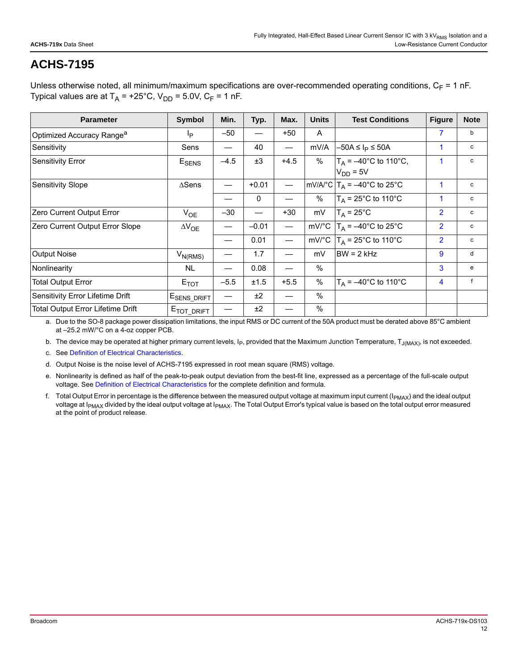Unless otherwise noted, all minimum/maximum specifications are over-recommended operating conditions,  $C_F = 1$  nF. Typical values are at  $T_A$  = +25°C,  $V_{DD}$  = 5.0V,  $C_F$  = 1 nF.

| <b>Parameter</b>                         | <b>Symbol</b>           | Min.   | Typ.        | Max.                     | <b>Units</b> | <b>Test Conditions</b>                          | <b>Figure</b>  | <b>Note</b>  |
|------------------------------------------|-------------------------|--------|-------------|--------------------------|--------------|-------------------------------------------------|----------------|--------------|
| Optimized Accuracy Range <sup>a</sup>    | Ιp                      | $-50$  |             | $+50$                    | A            |                                                 | 7              | b            |
| Sensitivity                              | Sens                    |        | 40          |                          | mV/A         | $-50A \leq I_P \leq 50A$                        | 1              | c            |
| <b>Sensitivity Error</b>                 | $E_{\rm SENS}$          | $-4.5$ | ±3          | $+4.5$                   | %            | $T_A = -40^{\circ}C$ to 110°C,<br>$V_{DD} = 5V$ | 1              | c            |
| <b>Sensitivity Slope</b>                 | $\triangle$ Sens        |        | $+0.01$     | $\qquad \qquad -$        |              | mV/A/°C $T_A = -40$ °C to 25°C                  | 1              | c            |
|                                          |                         |        | $\mathbf 0$ |                          | %            | $T_A$ = 25°C to 110°C                           | 1              | c            |
| Zero Current Output Error                | $V_{OE}$                | $-30$  | —           | $+30$                    | mV           | $T_A = 25^{\circ}C$                             | $\overline{2}$ | c            |
| Zero Current Output Error Slope          | $\Delta V_{OE}$         |        | $-0.01$     | $\overline{\phantom{0}}$ |              | mV/°C $ T_A = -40$ °C to 25°C                   | $\overline{2}$ | с            |
|                                          |                         |        | 0.01        | $\overline{\phantom{0}}$ |              | mV/°C $T_A$ = 25°C to 110°C                     | $\overline{2}$ | c            |
| <b>Output Noise</b>                      | $V_{N(RMS)}$            |        | 1.7         |                          | mV           | $BW = 2 kHz$                                    | 9              | d            |
| Nonlinearity                             | <b>NL</b>               |        | 0.08        |                          | $\%$         |                                                 | 3              | e            |
| <b>Total Output Error</b>                | $E_{TOT}$               | $-5.5$ | ±1.5        | $+5.5$                   | %            | $T_A = -40^{\circ}C$ to 110°C                   | 4              | $\mathsf{f}$ |
| Sensitivity Error Lifetime Drift         | E <sub>SENS_DRIFT</sub> |        | ±2          |                          | $\%$         |                                                 |                |              |
| <b>Total Output Error Lifetime Drift</b> | E <sub>TOT_DRIFT</sub>  |        | ±2          |                          | $\%$         |                                                 |                |              |

a. Due to the SO-8 package power dissipation limitations, the input RMS or DC current of the 50A product must be derated above 85°C ambient at –25.2 mW/°C on a 4-oz copper PCB.

b. The device may be operated at higher primary current levels, I<sub>P</sub>, provided that the Maximum Junction Temperature, T<sub>J(MAX)</sub>, is not exceeded.

<span id="page-11-0"></span>c. See [Definition of Electrical Characteristics](#page-15-0).

d. Output Noise is the noise level of ACHS-7195 expressed in root mean square (RMS) voltage.

e. Nonlinearity is defined as half of the peak-to-peak output deviation from the best-fit line, expressed as a percentage of the full-scale output voltage. See [Definition of Electrical Characteristics](#page-15-0) for the complete definition and formula.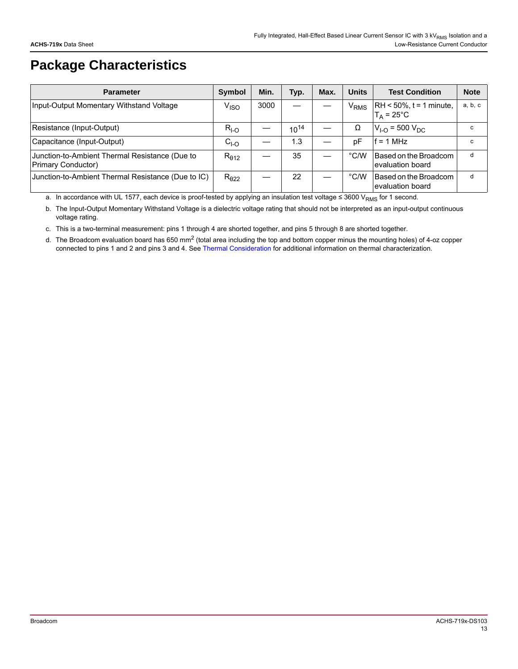# **Package Characteristics**

| <b>Parameter</b>                                                            | Symbol           | Min. | Typ.      | Max. | <b>Units</b>           | <b>Test Condition</b>                              | <b>Note</b> |
|-----------------------------------------------------------------------------|------------------|------|-----------|------|------------------------|----------------------------------------------------|-------------|
| Input-Output Momentary Withstand Voltage                                    | V <sub>ISO</sub> | 3000 |           |      | <b>V<sub>RMS</sub></b> | $RH < 50\%$ , t = 1 minute,<br>$T_A = 25^{\circ}C$ | a, b, c     |
| Resistance (Input-Output)                                                   | $R_{I-O}$        |      | $10^{14}$ |      | Ω                      | $V_{LO}$ = 500 $V_{DC}$                            | C           |
| Capacitance (Input-Output)                                                  | $CI-O$           |      | 1.3       |      | рF                     | $= 1 MHz$                                          | C           |
| Junction-to-Ambient Thermal Resistance (Due to<br><b>Primary Conductor)</b> | $R_{\theta 12}$  |      | 35        |      | $\degree$ C/W          | Based on the Broadcom<br>evaluation board          | d           |
| Junction-to-Ambient Thermal Resistance (Due to IC)                          | $R_{\theta22}$   |      | 22        |      | $\degree$ C/W          | Based on the Broadcom<br>evaluation board          | d           |

a. In accordance with UL 1577, each device is proof-tested by applying an insulation test voltage ≤ 3600 V<sub>RMS</sub> for 1 second.

b. The Input-Output Momentary Withstand Voltage is a dielectric voltage rating that should not be interpreted as an input-output continuous voltage rating.

<span id="page-12-0"></span>c. This is a two-terminal measurement: pins 1 through 4 are shorted together, and pins 5 through 8 are shorted together.

<span id="page-12-1"></span>d. The Broadcom evaluation board has 650 mm<sup>2</sup> (total area including the top and bottom copper minus the mounting holes) of 4-oz copper connected to pins 1 and 2 and pins 3 and 4. See [Thermal Consideration](#page-17-2) for additional information on thermal characterization.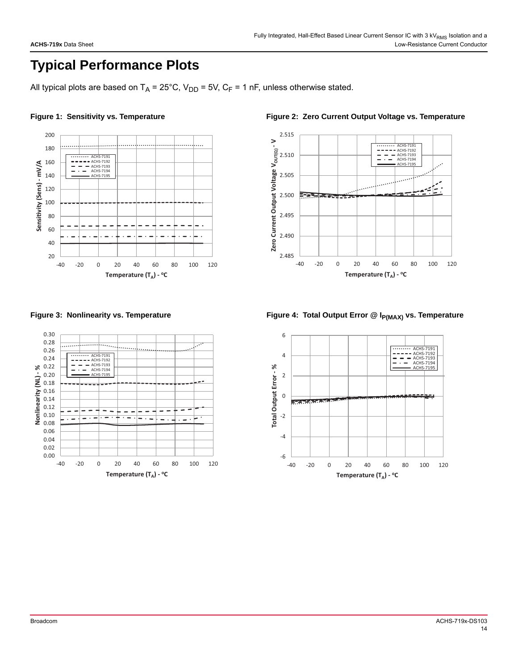# **Typical Performance Plots**

All typical plots are based on  $T_A = 25^{\circ}C$ ,  $V_{DD} = 5V$ ,  $C_F = 1$  nF, unless otherwise stated.



<span id="page-13-0"></span>

<span id="page-13-1"></span>Figure 1: Sensitivity vs. Temperature **Figure 2: Zero Current Output Voltage vs. Temperature** 



<span id="page-13-2"></span>Figure 3: Nonlinearity vs. Temperature **Figure 4: Total Output Error @ I<sub>P(MAX)</sub> vs. Temperature** 

<span id="page-13-3"></span>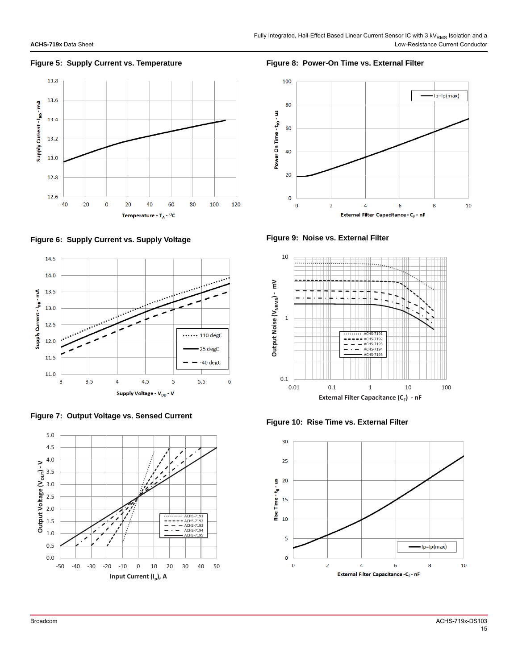### <span id="page-14-0"></span>**Figure 5: Supply Current vs. Temperature**



<span id="page-14-1"></span>**Figure 6: Supply Current vs. Supply Voltage**



<span id="page-14-4"></span>**Figure 7: Output Voltage vs. Sensed Current**



### <span id="page-14-3"></span>**Figure 8: Power-On Time vs. External Filter**



<span id="page-14-5"></span>**Figure 9: Noise vs. External Filter**



<span id="page-14-2"></span>**Figure 10: Rise Time vs. External Filter**

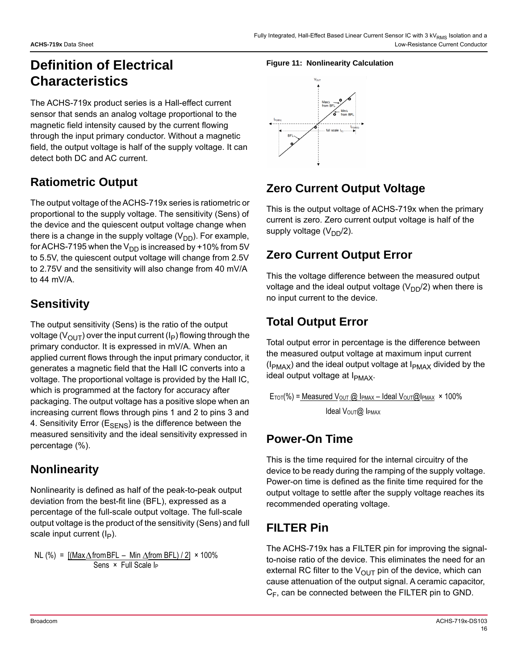# <span id="page-15-0"></span>**Definition of Electrical Characteristics**

The ACHS-719x product series is a Hall-effect current sensor that sends an analog voltage proportional to the magnetic field intensity caused by the current flowing through the input primary conductor. Without a magnetic field, the output voltage is half of the supply voltage. It can detect both DC and AC current.

### **Ratiometric Output**

The output voltage of the ACHS-719x series is ratiometric or proportional to the supply voltage. The sensitivity (Sens) of the device and the quiescent output voltage change when there is a change in the supply voltage  $(V_{DD})$ . For example, for ACHS-7195 when the  $V_{DD}$  is increased by +10% from 5V to 5.5V, the quiescent output voltage will change from 2.5V to 2.75V and the sensitivity will also change from 40 mV/A to 44 mV/A.

### **Sensitivity**

The output sensitivity (Sens) is the ratio of the output voltage ( $V_{\text{OUT}}$ ) over the input current (I<sub>P</sub>) flowing through the primary conductor. It is expressed in mV/A. When an applied current flows through the input primary conductor, it generates a magnetic field that the Hall IC converts into a voltage. The proportional voltage is provided by the Hall IC, which is programmed at the factory for accuracy after packaging. The output voltage has a positive slope when an increasing current flows through pins 1 and 2 to pins 3 and 4. Sensitivity Error ( $E_{\text{SFNS}}$ ) is the difference between the measured sensitivity and the ideal sensitivity expressed in percentage (%).

### **Nonlinearity**

Nonlinearity is defined as half of the peak-to-peak output deviation from the best-fit line (BFL), expressed as a percentage of the full-scale output voltage. The full-scale output voltage is the product of the sensitivity (Sens) and full scale input current  $(I_P)$ .

NL (%) = 
$$
\frac{[(Max\Delta from BFL - Min \Delta from BFL)/2]}{Sens \times Full Scale I_P}
$$

### **Figure 11: Nonlinearity Calculation**



### **Zero Current Output Voltage**

This is the output voltage of ACHS-719x when the primary current is zero. Zero current output voltage is half of the supply voltage  $(V_{DD}/2)$ .

### **Zero Current Output Error**

This the voltage difference between the measured output voltage and the ideal output voltage  $(V_{DD}/2)$  when there is no input current to the device.

### **Total Output Error**

Total output error in percentage is the difference between the measured output voltage at maximum input current  $(I_{PMAX})$  and the ideal output voltage at  $I_{PMAX}$  divided by the ideal output voltage at I<sub>PMAX</sub>.

 $Error$ %) = Measured  $V_{OUT}$  @ IPMAX – Ideal  $V_{OUT}$ @IPMAX  $\times$  100% Ideal VOUT@ IPMAX

### **Power-On Time**

This is the time required for the internal circuitry of the device to be ready during the ramping of the supply voltage. Power-on time is defined as the finite time required for the output voltage to settle after the supply voltage reaches its recommended operating voltage.

### **FILTER Pin**

The ACHS-719x has a FILTER pin for improving the signalto-noise ratio of the device. This eliminates the need for an external RC filter to the  $V_{OUT}$  pin of the device, which can cause attenuation of the output signal. A ceramic capacitor,  $C_F$ , can be connected between the FILTER pin to GND.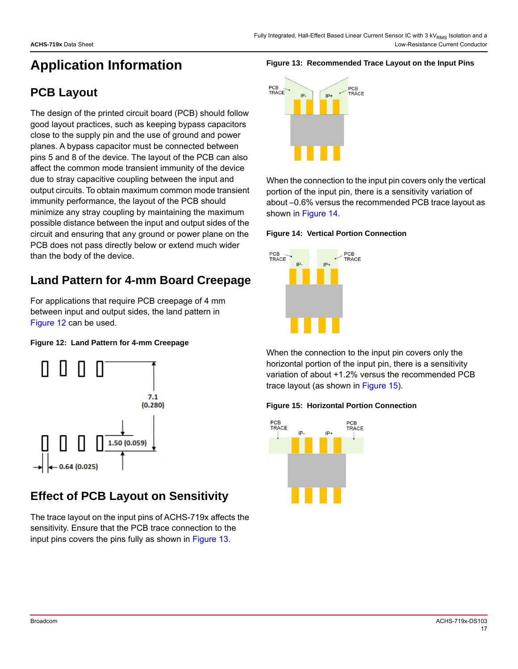# **Application Information**

### **PCB Layout**

The design of the printed circuit board (PCB) should follow good layout practices, such as keeping bypass capacitors close to the supply pin and the use of ground and power planes. A bypass capacitor must be connected between pins 5 and 8 of the device. The layout of the PCB can also affect the common mode transient immunity of the device due to stray capacitive coupling between the input and output circuits. To obtain maximum common mode transient immunity performance, the layout of the PCB should minimize any stray coupling by maintaining the maximum possible distance between the input and output sides of the circuit and ensuring that any ground or power plane on the PCB does not pass directly below or extend much wider than the body of the device.

### **Land Pattern for 4-mm Board Creepage**

For applications that require PCB creepage of 4 mm between input and output sides, the land pattern in [Figure 12](#page-16-1) can be used.

### <span id="page-16-1"></span>**Figure 12: Land Pattern for 4-mm Creepage**



### **Effect of PCB Layout on Sensitivity**

The trace layout on the input pins of ACHS-719x affects the sensitivity. Ensure that the PCB trace connection to the input pins covers the pins fully as shown in [Figure 13.](#page-16-0)

### <span id="page-16-0"></span>**Figure 13: Recommended Trace Layout on the Input Pins**



When the connection to the input pin covers only the vertical portion of the input pin, there is a sensitivity variation of about –0.6% versus the recommended PCB trace layout as shown in [Figure 14](#page-16-2).

### <span id="page-16-2"></span>**Figure 14: Vertical Portion Connection**



When the connection to the input pin covers only the horizontal portion of the input pin, there is a sensitivity variation of about +1.2% versus the recommended PCB trace layout (as shown in [Figure 15\)](#page-16-3).

### <span id="page-16-3"></span>**Figure 15: Horizontal Portion Connection**

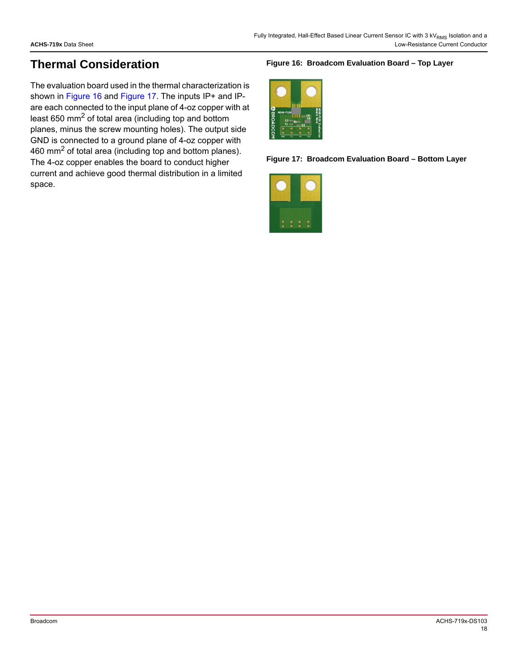### <span id="page-17-2"></span>**Thermal Consideration**

The evaluation board used in the thermal characterization is shown in [Figure 16](#page-17-0) and [Figure 17.](#page-17-1) The inputs IP+ and IPare each connected to the input plane of 4-oz copper with at least 650 mm2 of total area (including top and bottom planes, minus the screw mounting holes). The output side GND is connected to a ground plane of 4-oz copper with 460  $\text{mm}^2$  of total area (including top and bottom planes). The 4-oz copper enables the board to conduct higher current and achieve good thermal distribution in a limited space.

### <span id="page-17-0"></span>**Figure 16: Broadcom Evaluation Board – Top Layer**



**Figure 17: Broadcom Evaluation Board – Bottom Layer** 

<span id="page-17-1"></span>